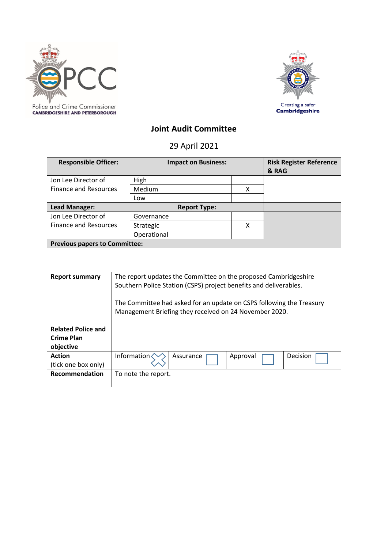



# **Joint Audit Committee**

29 April 2021

| <b>Responsible Officer:</b>          | <b>Impact on Business:</b> |   | <b>Risk Register Reference</b><br>& RAG |  |
|--------------------------------------|----------------------------|---|-----------------------------------------|--|
| Jon Lee Director of                  | High                       |   |                                         |  |
| <b>Finance and Resources</b>         | Medium                     | χ |                                         |  |
|                                      | Low                        |   |                                         |  |
| Lead Manager:                        | <b>Report Type:</b>        |   |                                         |  |
| Jon Lee Director of                  | Governance                 |   |                                         |  |
| <b>Finance and Resources</b>         | Strategic                  | χ |                                         |  |
|                                      | Operational                |   |                                         |  |
| <b>Previous papers to Committee:</b> |                            |   |                                         |  |
|                                      |                            |   |                                         |  |

| <b>Report summary</b>     | The report updates the Committee on the proposed Cambridgeshire<br>Southern Police Station (CSPS) project benefits and deliverables. |                                                                                                                                |          |          |
|---------------------------|--------------------------------------------------------------------------------------------------------------------------------------|--------------------------------------------------------------------------------------------------------------------------------|----------|----------|
|                           |                                                                                                                                      | The Committee had asked for an update on CSPS following the Treasury<br>Management Briefing they received on 24 November 2020. |          |          |
| <b>Related Police and</b> |                                                                                                                                      |                                                                                                                                |          |          |
| <b>Crime Plan</b>         |                                                                                                                                      |                                                                                                                                |          |          |
| objective                 |                                                                                                                                      |                                                                                                                                |          |          |
| <b>Action</b>             | Information                                                                                                                          | Assurance                                                                                                                      | Approval | Decision |
| (tick one box only)       |                                                                                                                                      |                                                                                                                                |          |          |
| <b>Recommendation</b>     | To note the report.                                                                                                                  |                                                                                                                                |          |          |
|                           |                                                                                                                                      |                                                                                                                                |          |          |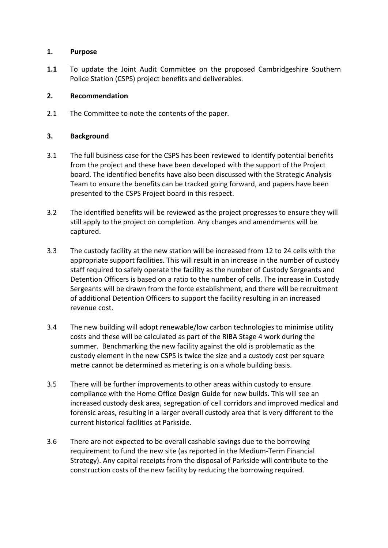## **1. Purpose**

**1.1** To update the Joint Audit Committee on the proposed Cambridgeshire Southern Police Station (CSPS) project benefits and deliverables.

# **2. Recommendation**

2.1 The Committee to note the contents of the paper.

# **3. Background**

- 3.1 The full business case for the CSPS has been reviewed to identify potential benefits from the project and these have been developed with the support of the Project board. The identified benefits have also been discussed with the Strategic Analysis Team to ensure the benefits can be tracked going forward, and papers have been presented to the CSPS Project board in this respect.
- 3.2 The identified benefits will be reviewed as the project progresses to ensure they will still apply to the project on completion. Any changes and amendments will be captured.
- 3.3 The custody facility at the new station will be increased from 12 to 24 cells with the appropriate support facilities. This will result in an increase in the number of custody staff required to safely operate the facility as the number of Custody Sergeants and Detention Officers is based on a ratio to the number of cells. The increase in Custody Sergeants will be drawn from the force establishment, and there will be recruitment of additional Detention Officers to support the facility resulting in an increased revenue cost.
- 3.4 The new building will adopt renewable/low carbon technologies to minimise utility costs and these will be calculated as part of the RIBA Stage 4 work during the summer. Benchmarking the new facility against the old is problematic as the custody element in the new CSPS is twice the size and a custody cost per square metre cannot be determined as metering is on a whole building basis.
- 3.5 There will be further improvements to other areas within custody to ensure compliance with the Home Office Design Guide for new builds. This will see an increased custody desk area, segregation of cell corridors and improved medical and forensic areas, resulting in a larger overall custody area that is very different to the current historical facilities at Parkside.
- 3.6 There are not expected to be overall cashable savings due to the borrowing requirement to fund the new site (as reported in the Medium-Term Financial Strategy). Any capital receipts from the disposal of Parkside will contribute to the construction costs of the new facility by reducing the borrowing required.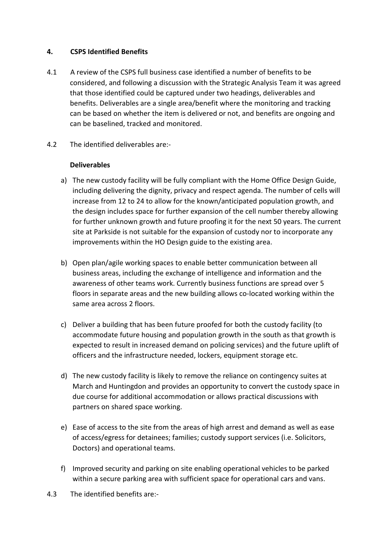# **4. CSPS Identified Benefits**

- 4.1 A review of the CSPS full business case identified a number of benefits to be considered, and following a discussion with the Strategic Analysis Team it was agreed that those identified could be captured under two headings, deliverables and benefits. Deliverables are a single area/benefit where the monitoring and tracking can be based on whether the item is delivered or not, and benefits are ongoing and can be baselined, tracked and monitored.
- 4.2 The identified deliverables are:-

## **Deliverables**

- a) The new custody facility will be fully compliant with the Home Office Design Guide, including delivering the dignity, privacy and respect agenda. The number of cells will increase from 12 to 24 to allow for the known/anticipated population growth, and the design includes space for further expansion of the cell number thereby allowing for further unknown growth and future proofing it for the next 50 years. The current site at Parkside is not suitable for the expansion of custody nor to incorporate any improvements within the HO Design guide to the existing area.
- b) Open plan/agile working spaces to enable better communication between all business areas, including the exchange of intelligence and information and the awareness of other teams work. Currently business functions are spread over 5 floors in separate areas and the new building allows co-located working within the same area across 2 floors.
- c) Deliver a building that has been future proofed for both the custody facility (to accommodate future housing and population growth in the south as that growth is expected to result in increased demand on policing services) and the future uplift of officers and the infrastructure needed, lockers, equipment storage etc.
- d) The new custody facility is likely to remove the reliance on contingency suites at March and Huntingdon and provides an opportunity to convert the custody space in due course for additional accommodation or allows practical discussions with partners on shared space working.
- e) Ease of access to the site from the areas of high arrest and demand as well as ease of access/egress for detainees; families; custody support services (i.e. Solicitors, Doctors) and operational teams.
- f) Improved security and parking on site enabling operational vehicles to be parked within a secure parking area with sufficient space for operational cars and vans.
- 4.3 The identified benefits are:-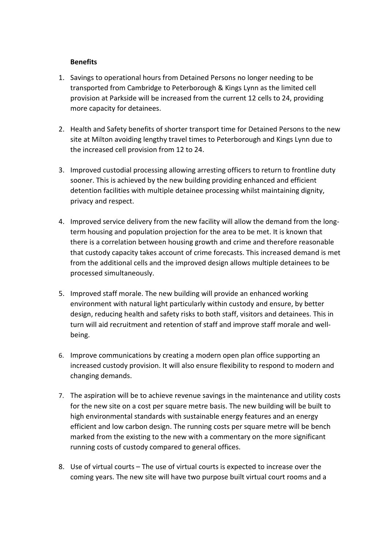# **Benefits**

- 1. Savings to operational hours from Detained Persons no longer needing to be transported from Cambridge to Peterborough & Kings Lynn as the limited cell provision at Parkside will be increased from the current 12 cells to 24, providing more capacity for detainees.
- 2. Health and Safety benefits of shorter transport time for Detained Persons to the new site at Milton avoiding lengthy travel times to Peterborough and Kings Lynn due to the increased cell provision from 12 to 24.
- 3. Improved custodial processing allowing arresting officers to return to frontline duty sooner. This is achieved by the new building providing enhanced and efficient detention facilities with multiple detainee processing whilst maintaining dignity, privacy and respect.
- 4. Improved service delivery from the new facility will allow the demand from the longterm housing and population projection for the area to be met. It is known that there is a correlation between housing growth and crime and therefore reasonable that custody capacity takes account of crime forecasts. This increased demand is met from the additional cells and the improved design allows multiple detainees to be processed simultaneously.
- 5. Improved staff morale. The new building will provide an enhanced working environment with natural light particularly within custody and ensure, by better design, reducing health and safety risks to both staff, visitors and detainees. This in turn will aid recruitment and retention of staff and improve staff morale and wellbeing.
- 6. Improve communications by creating a modern open plan office supporting an increased custody provision. It will also ensure flexibility to respond to modern and changing demands.
- 7. The aspiration will be to achieve revenue savings in the maintenance and utility costs for the new site on a cost per square metre basis. The new building will be built to high environmental standards with sustainable energy features and an energy efficient and low carbon design. The running costs per square metre will be bench marked from the existing to the new with a commentary on the more significant running costs of custody compared to general offices.
- 8. Use of virtual courts The use of virtual courts is expected to increase over the coming years. The new site will have two purpose built virtual court rooms and a